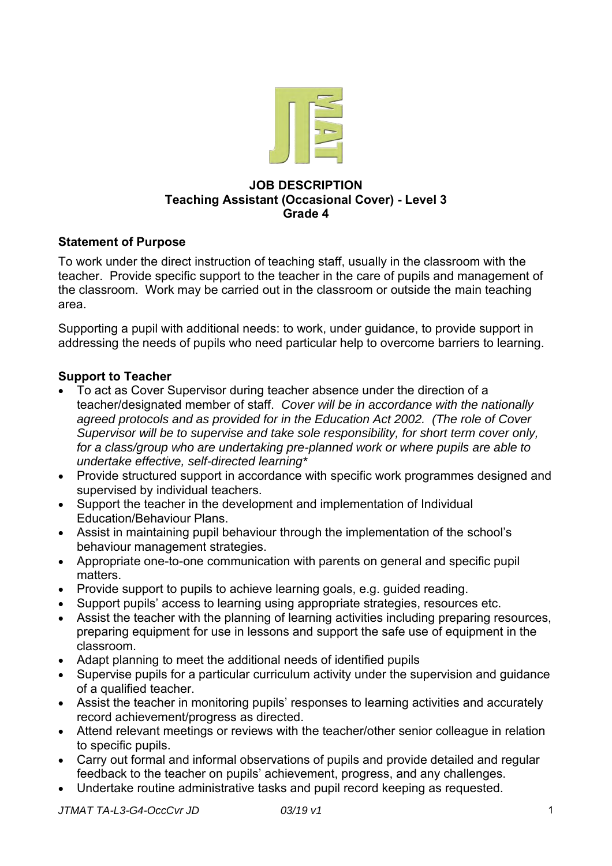

### **JOB DESCRIPTION Teaching Assistant (Occasional Cover) - Level 3 Grade 4**

## **Statement of Purpose**

To work under the direct instruction of teaching staff, usually in the classroom with the teacher. Provide specific support to the teacher in the care of pupils and management of the classroom. Work may be carried out in the classroom or outside the main teaching area.

Supporting a pupil with additional needs: to work, under guidance, to provide support in addressing the needs of pupils who need particular help to overcome barriers to learning.

## **Support to Teacher**

- To act as Cover Supervisor during teacher absence under the direction of a teacher/designated member of staff. *Cover will be in accordance with the nationally agreed protocols and as provided for in the Education Act 2002. (The role of Cover Supervisor will be to supervise and take sole responsibility, for short term cover only, for a class/group who are undertaking pre-planned work or where pupils are able to undertake effective, self-directed learning\**
- Provide structured support in accordance with specific work programmes designed and supervised by individual teachers.
- Support the teacher in the development and implementation of Individual Education/Behaviour Plans.
- Assist in maintaining pupil behaviour through the implementation of the school's behaviour management strategies.
- Appropriate one-to-one communication with parents on general and specific pupil matters.
- Provide support to pupils to achieve learning goals, e.g. guided reading.
- Support pupils' access to learning using appropriate strategies, resources etc.
- Assist the teacher with the planning of learning activities including preparing resources, preparing equipment for use in lessons and support the safe use of equipment in the classroom.
- Adapt planning to meet the additional needs of identified pupils
- Supervise pupils for a particular curriculum activity under the supervision and guidance of a qualified teacher.
- Assist the teacher in monitoring pupils' responses to learning activities and accurately record achievement/progress as directed.
- Attend relevant meetings or reviews with the teacher/other senior colleague in relation to specific pupils.
- Carry out formal and informal observations of pupils and provide detailed and regular feedback to the teacher on pupils' achievement, progress, and any challenges.
- Undertake routine administrative tasks and pupil record keeping as requested.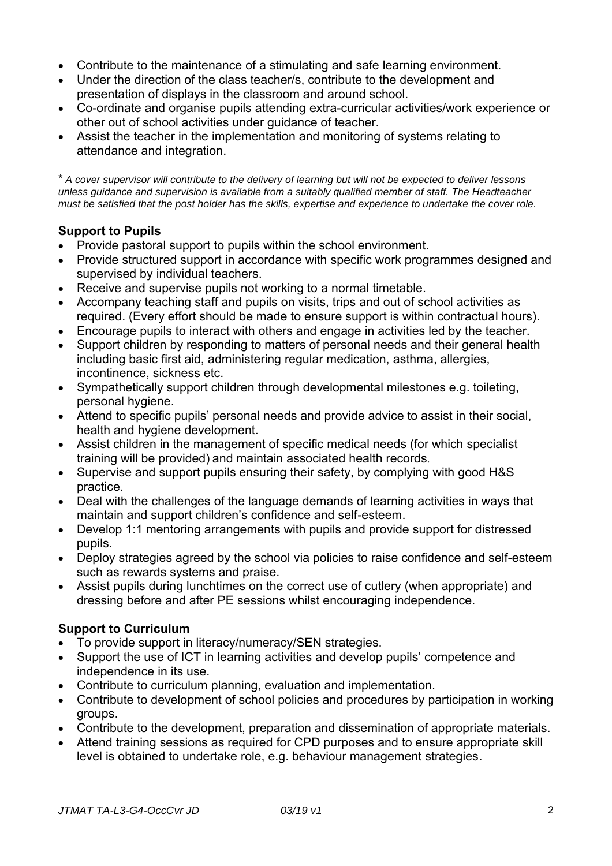- Contribute to the maintenance of a stimulating and safe learning environment.
- Under the direction of the class teacher/s, contribute to the development and presentation of displays in the classroom and around school.
- Co-ordinate and organise pupils attending extra-curricular activities/work experience or other out of school activities under guidance of teacher.
- Assist the teacher in the implementation and monitoring of systems relating to attendance and integration.

\* *A cover supervisor will contribute to the delivery of learning but will not be expected to deliver lessons unless guidance and supervision is available from a suitably qualified member of staff. The Headteacher must be satisfied that the post holder has the skills, expertise and experience to undertake the cover role.*

## **Support to Pupils**

- Provide pastoral support to pupils within the school environment.
- Provide structured support in accordance with specific work programmes designed and supervised by individual teachers.
- Receive and supervise pupils not working to a normal timetable.
- Accompany teaching staff and pupils on visits, trips and out of school activities as required. (Every effort should be made to ensure support is within contractual hours).
- Encourage pupils to interact with others and engage in activities led by the teacher.
- Support children by responding to matters of personal needs and their general health including basic first aid, administering regular medication, asthma, allergies, incontinence, sickness etc.
- Sympathetically support children through developmental milestones e.g. toileting, personal hygiene.
- Attend to specific pupils' personal needs and provide advice to assist in their social, health and hygiene development.
- Assist children in the management of specific medical needs (for which specialist training will be provided) and maintain associated health records.
- Supervise and support pupils ensuring their safety, by complying with good H&S practice.
- Deal with the challenges of the language demands of learning activities in ways that maintain and support children's confidence and self-esteem.
- Develop 1:1 mentoring arrangements with pupils and provide support for distressed pupils.
- Deploy strategies agreed by the school via policies to raise confidence and self-esteem such as rewards systems and praise.
- Assist pupils during lunchtimes on the correct use of cutlery (when appropriate) and dressing before and after PE sessions whilst encouraging independence.

## **Support to Curriculum**

- To provide support in literacy/numeracy/SEN strategies.
- Support the use of ICT in learning activities and develop pupils' competence and independence in its use.
- Contribute to curriculum planning, evaluation and implementation.
- Contribute to development of school policies and procedures by participation in working groups.
- Contribute to the development, preparation and dissemination of appropriate materials.
- Attend training sessions as required for CPD purposes and to ensure appropriate skill level is obtained to undertake role, e.g. behaviour management strategies.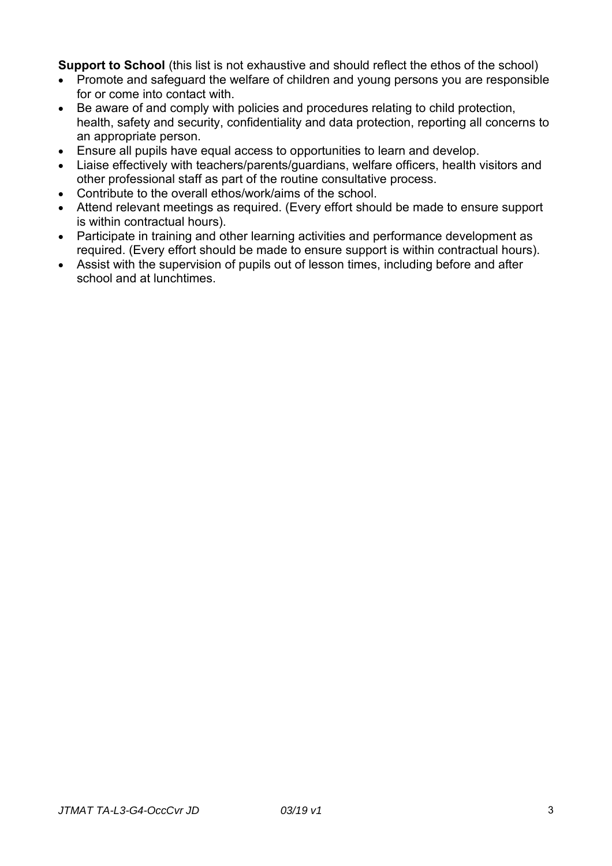**Support to School** (this list is not exhaustive and should reflect the ethos of the school)

- Promote and safeguard the welfare of children and young persons you are responsible for or come into contact with.
- Be aware of and comply with policies and procedures relating to child protection, health, safety and security, confidentiality and data protection, reporting all concerns to an appropriate person.
- Ensure all pupils have equal access to opportunities to learn and develop.
- Liaise effectively with teachers/parents/guardians, welfare officers, health visitors and other professional staff as part of the routine consultative process.
- Contribute to the overall ethos/work/aims of the school.
- Attend relevant meetings as required. (Every effort should be made to ensure support is within contractual hours).
- Participate in training and other learning activities and performance development as required. (Every effort should be made to ensure support is within contractual hours).
- Assist with the supervision of pupils out of lesson times, including before and after school and at lunchtimes.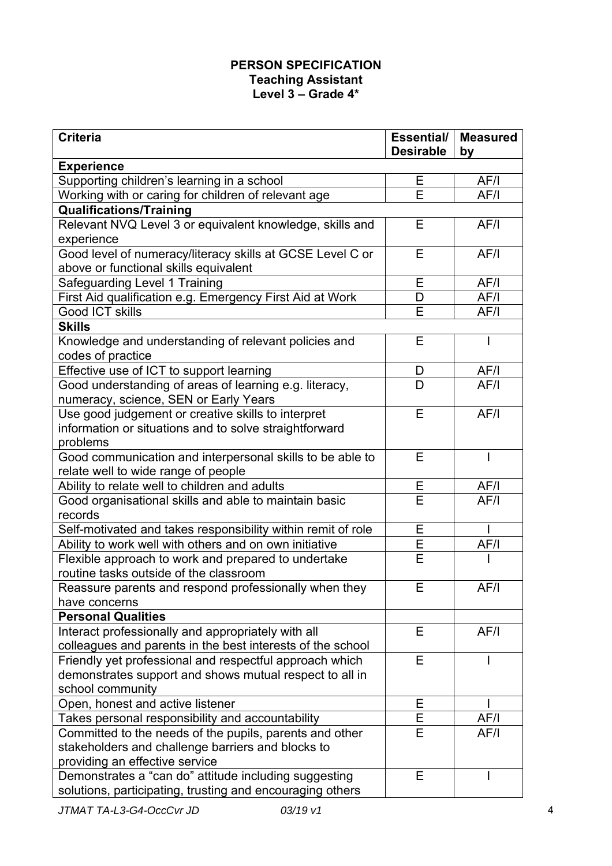# **PERSON SPECIFICATION Teaching Assistant Level 3 – Grade 4\***

| <b>Criteria</b>                                                           | Essential/<br><b>Desirable</b> | <b>Measured</b> |
|---------------------------------------------------------------------------|--------------------------------|-----------------|
| <b>Experience</b>                                                         |                                | by              |
| Supporting children's learning in a school                                | E                              | AF/I            |
| Working with or caring for children of relevant age                       | E                              | AF/I            |
| <b>Qualifications/Training</b>                                            |                                |                 |
| Relevant NVQ Level 3 or equivalent knowledge, skills and                  | E                              | AF/I            |
| experience                                                                |                                |                 |
| Good level of numeracy/literacy skills at GCSE Level C or                 | Е                              | AF/I            |
| above or functional skills equivalent                                     |                                |                 |
| Safeguarding Level 1 Training                                             | E                              | AF/I            |
| First Aid qualification e.g. Emergency First Aid at Work                  | D                              | AF/I            |
| <b>Good ICT skills</b>                                                    | Е                              | AF/I            |
| <b>Skills</b>                                                             |                                |                 |
| Knowledge and understanding of relevant policies and<br>codes of practice | E                              |                 |
| Effective use of ICT to support learning                                  | D                              | AF/I            |
| Good understanding of areas of learning e.g. literacy,                    | D                              | AF/I            |
| numeracy, science, SEN or Early Years                                     |                                |                 |
| Use good judgement or creative skills to interpret                        | Е                              | AF/I            |
| information or situations and to solve straightforward                    |                                |                 |
| problems                                                                  |                                |                 |
| Good communication and interpersonal skills to be able to                 | Е                              | $\mathsf{I}$    |
| relate well to wide range of people                                       |                                |                 |
| Ability to relate well to children and adults                             | E                              | AF/I            |
| Good organisational skills and able to maintain basic<br>records          | E                              | AF/I            |
| Self-motivated and takes responsibility within remit of role              | E                              |                 |
| Ability to work well with others and on own initiative                    | E                              | AF/I            |
| Flexible approach to work and prepared to undertake                       | E                              |                 |
| routine tasks outside of the classroom                                    |                                |                 |
| Reassure parents and respond professionally when they                     | E                              | AF/I            |
| have concerns                                                             |                                |                 |
| <b>Personal Qualities</b>                                                 |                                |                 |
| Interact professionally and appropriately with all                        | Е                              | AF/I            |
| colleagues and parents in the best interests of the school                |                                |                 |
| Friendly yet professional and respectful approach which                   | E                              |                 |
| demonstrates support and shows mutual respect to all in                   |                                |                 |
| school community                                                          |                                |                 |
| Open, honest and active listener                                          | Ε                              |                 |
| Takes personal responsibility and accountability                          | E                              | AF/I            |
| Committed to the needs of the pupils, parents and other                   | E                              | AF/I            |
| stakeholders and challenge barriers and blocks to                         |                                |                 |
| providing an effective service                                            |                                |                 |
| Demonstrates a "can do" attitude including suggesting                     | E                              |                 |
| solutions, participating, trusting and encouraging others                 |                                |                 |